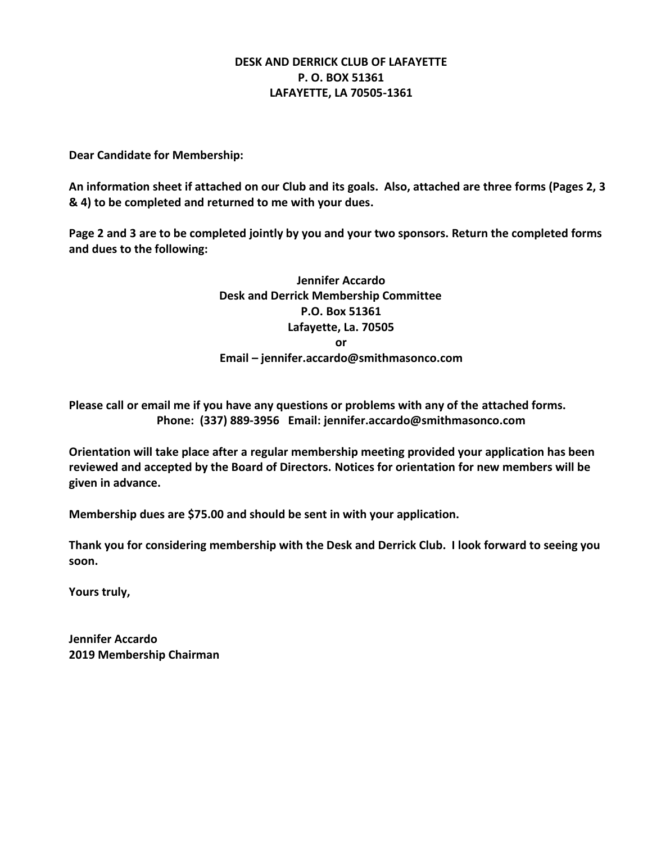# **DESK AND DERRICK CLUB OF LAFAYETTE P. O. BOX 51361 LAFAYETTE, LA 70505-1361**

**Dear Candidate for Membership:**

**An information sheet if attached on our Club and its goals. Also, attached are three forms (Pages 2, 3 & 4) to be completed and returned to me with your dues.**

**Page 2 and 3 are to be completed jointly by you and your two sponsors. Return the completed forms and dues to the following:**

> **Jennifer Accardo Desk and Derrick Membership Committee P.O. Box 51361 Lafayette, La. 70505 or Email – jennifer.accardo@smithmasonco.com**

**Please call or email me if you have any questions or problems with any of the attached forms. Phone: (337) 889-3956 Email: jennifer.accardo@smithmasonco.com**

**Orientation will take place after a regular membership meeting provided your application has been reviewed and accepted by the Board of Directors. Notices for orientation for new members will be given in advance.** 

**Membership dues are \$75.00 and should be sent in with your application.**

**Thank you for considering membership with the Desk and Derrick Club. I look forward to seeing you soon.**

**Yours truly,**

**Jennifer Accardo 2019 Membership Chairman**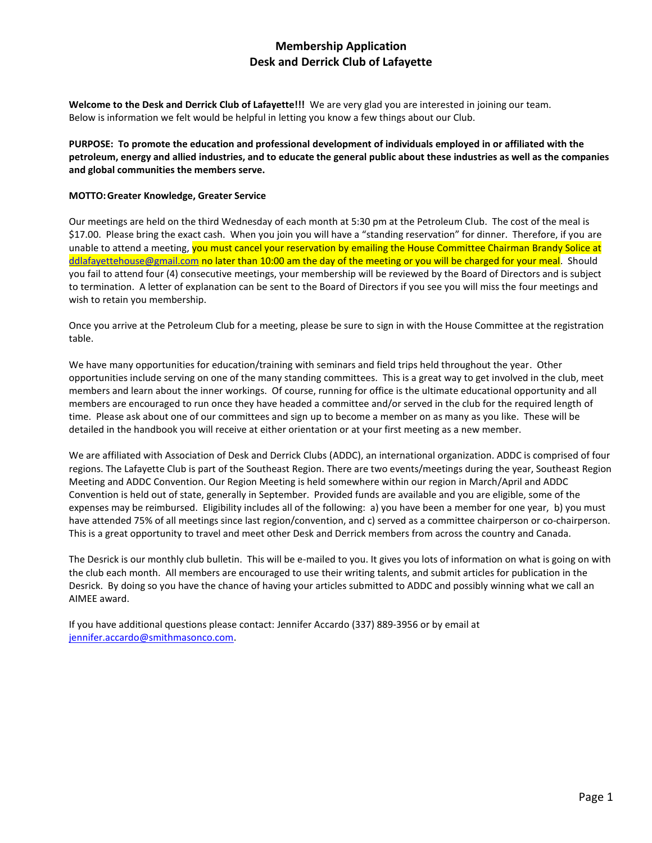# **Membership Application Desk and Derrick Club of Lafayette**

**Welcome to the Desk and Derrick Club of Lafayette!!!** We are very glad you are interested in joining our team. Below is information we felt would be helpful in letting you know a few things about our Club.

**PURPOSE: To promote the education and professional development of individuals employed in or affiliated with the petroleum, energy and allied industries, and to educate the general public about these industries as well as the companies and global communities the members serve.**

#### **MOTTO:Greater Knowledge, Greater Service**

Our meetings are held on the third Wednesday of each month at 5:30 pm at the Petroleum Club. The cost of the meal is \$17.00. Please bring the exact cash. When you join you will have a "standing reservation" for dinner. Therefore, if you are unable to attend a meeting, you must cancel your reservation by emailing the House Committee Chairman Brandy Solice at [ddlafayettehouse@gmail.com](mailto:ddlafayettehouse@gmail.com) no later than 10:00 am the day of the meeting or you will be charged for your meal. Should you fail to attend four (4) consecutive meetings, your membership will be reviewed by the Board of Directors and is subject to termination. A letter of explanation can be sent to the Board of Directors if you see you will miss the four meetings and wish to retain you membership.

Once you arrive at the Petroleum Club for a meeting, please be sure to sign in with the House Committee at the registration table.

We have many opportunities for education/training with seminars and field trips held throughout the year. Other opportunities include serving on one of the many standing committees. This is a great way to get involved in the club, meet members and learn about the inner workings. Of course, running for office is the ultimate educational opportunity and all members are encouraged to run once they have headed a committee and/or served in the club for the required length of time. Please ask about one of our committees and sign up to become a member on as many as you like. These will be detailed in the handbook you will receive at either orientation or at your first meeting as a new member.

We are affiliated with Association of Desk and Derrick Clubs (ADDC), an international organization. ADDC is comprised of four regions. The Lafayette Club is part of the Southeast Region. There are two events/meetings during the year, Southeast Region Meeting and ADDC Convention. Our Region Meeting is held somewhere within our region in March/April and ADDC Convention is held out of state, generally in September. Provided funds are available and you are eligible, some of the expenses may be reimbursed. Eligibility includes all of the following: a) you have been a member for one year, b) you must have attended 75% of all meetings since last region/convention, and c) served as a committee chairperson or co-chairperson. This is a great opportunity to travel and meet other Desk and Derrick members from across the country and Canada.

The Desrick is our monthly club bulletin. This will be e-mailed to you. It gives you lots of information on what is going on with the club each month. All members are encouraged to use their writing talents, and submit articles for publication in the Desrick. By doing so you have the chance of having your articles submitted to ADDC and possibly winning what we call an AIMEE award.

If you have additional questions please contact: Jennifer Accardo (337) 889-3956 or by email at [jennifer.accardo@smithmasonco.com.](mailto:jennifer.accardo@smithmasonco.com)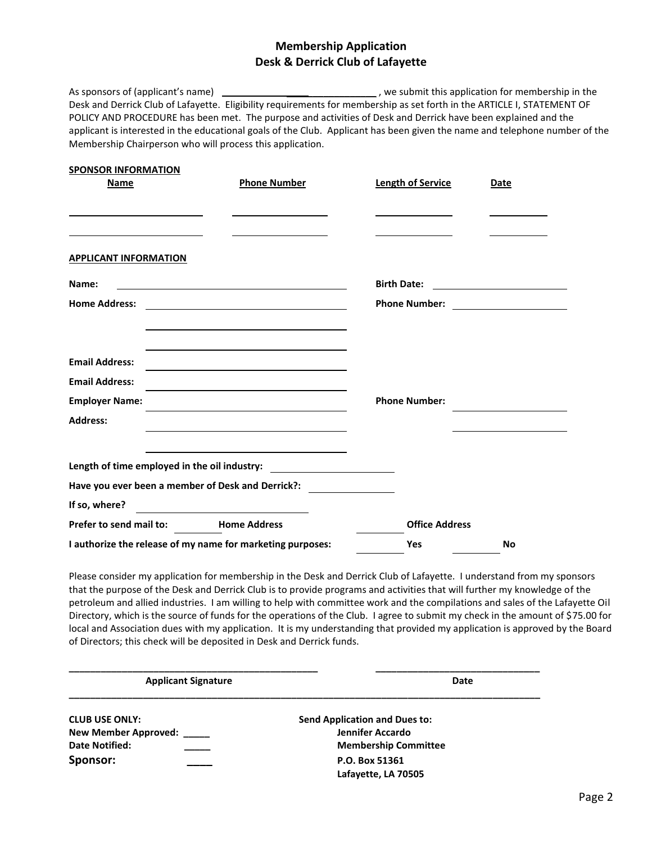# **Membership Application Desk & Derrick Club of Lafayette**

As sponsors of (applicant's name) \_\_\_\_\_\_\_\_\_\_\_\_\_\_\_\_\_\_\_\_\_\_\_\_\_\_\_\_\_\_\_\_\_\_, we submit this application for membership in the Desk and Derrick Club of Lafayette. Eligibility requirements for membership as set forth in the ARTICLE I, STATEMENT OF POLICY AND PROCEDURE has been met. The purpose and activities of Desk and Derrick have been explained and the applicant is interested in the educational goals of the Club. Applicant has been given the name and telephone number of the Membership Chairperson who will process this application.

| <b>SPONSOR INFORMATION</b>           |                                                                                           |                          |                                                 |
|--------------------------------------|-------------------------------------------------------------------------------------------|--------------------------|-------------------------------------------------|
| <b>Name</b>                          | <b>Phone Number</b>                                                                       | <b>Length of Service</b> | Date                                            |
|                                      |                                                                                           |                          |                                                 |
|                                      |                                                                                           |                          |                                                 |
|                                      |                                                                                           |                          |                                                 |
| <b>APPLICANT INFORMATION</b>         |                                                                                           |                          |                                                 |
| Name:                                |                                                                                           | <b>Birth Date:</b>       | <u> 1980 - Andrea Amerikaanse kommunister (</u> |
| <b>Home Address:</b>                 | <u> 1989 - Johann Stein, mars an de Brasilia (b. 1989)</u>                                |                          |                                                 |
|                                      |                                                                                           |                          |                                                 |
|                                      |                                                                                           |                          |                                                 |
| <b>Email Address:</b>                |                                                                                           |                          |                                                 |
| <b>Email Address:</b>                | the control of the control of the control of the control of the control of the control of |                          |                                                 |
| <b>Employer Name:</b>                | the control of the control of the control of the control of the control of the control of | <b>Phone Number:</b>     |                                                 |
| <b>Address:</b>                      |                                                                                           |                          |                                                 |
|                                      |                                                                                           |                          |                                                 |
|                                      | Length of time employed in the oil industry: ___________________________________          |                          |                                                 |
|                                      | Have you ever been a member of Desk and Derrick?: ______________________________          |                          |                                                 |
| If so, where?                        | <u> 1989 - Johann Barbara, martxa amerikan per</u>                                        |                          |                                                 |
| Prefer to send mail to: Home Address |                                                                                           | <b>Office Address</b>    |                                                 |
|                                      | I authorize the release of my name for marketing purposes:                                | <b>Yes</b>               | <b>No</b>                                       |

Please consider my application for membership in the Desk and Derrick Club of Lafayette. I understand from my sponsors that the purpose of the Desk and Derrick Club is to provide programs and activities that will further my knowledge of the petroleum and allied industries. I am willing to help with committee work and the compilations and sales of the Lafayette Oil Directory, which is the source of funds for the operations of the Club. I agree to submit my check in the amount of \$75.00 for local and Association dues with my application. It is my understanding that provided my application is approved by the Board of Directors; this check will be deposited in Desk and Derrick funds.

| <b>Applicant Signature</b> | Date                                 |  |
|----------------------------|--------------------------------------|--|
| <b>CLUB USE ONLY:</b>      | <b>Send Application and Dues to:</b> |  |
| New Member Approved: ____  | Jennifer Accardo                     |  |
| <b>Date Notified:</b>      | <b>Membership Committee</b>          |  |
| Sponsor:                   | P.O. Box 51361                       |  |
|                            | Lafayette, LA 70505                  |  |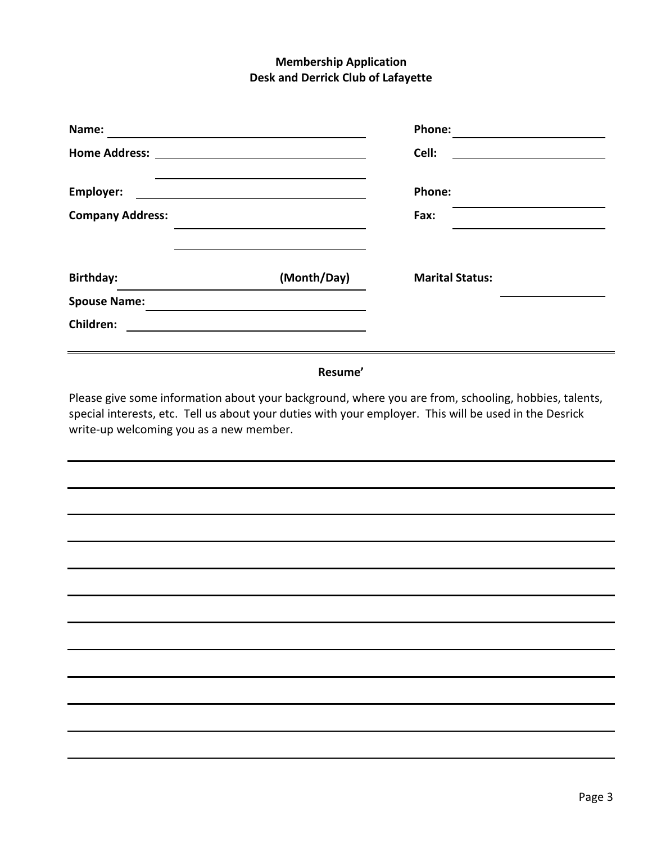# **Membership Application Desk and Derrick Club of Lafayette**

| Name:                   |             | Phone:                 |  |
|-------------------------|-------------|------------------------|--|
|                         |             | Cell:                  |  |
| Employer:               |             | <b>Phone:</b>          |  |
| <b>Company Address:</b> |             | Fax:                   |  |
|                         |             |                        |  |
| <b>Birthday:</b>        | (Month/Day) | <b>Marital Status:</b> |  |
| <b>Spouse Name:</b>     |             |                        |  |
| Children:               |             |                        |  |
|                         |             |                        |  |

#### **Resume'**

Please give some information about your background, where you are from, schooling, hobbies, talents, special interests, etc. Tell us about your duties with your employer. This will be used in the Desrick write-up welcoming you as a new member.